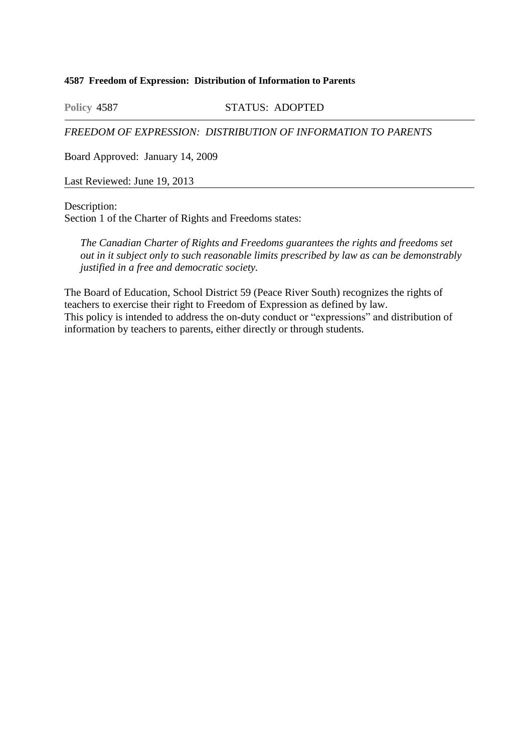## **4587 Freedom of Expression: Distribution of Information to Parents**

**Policy 4587** STATUS: ADOPTED

*FREEDOM OF EXPRESSION: DISTRIBUTION OF INFORMATION TO PARENTS*

Board Approved: January 14, 2009

Last Reviewed: June 19, 2013

Description:

Section 1 of the Charter of Rights and Freedoms states:

*The Canadian Charter of Rights and Freedoms guarantees the rights and freedoms set out in it subject only to such reasonable limits prescribed by law as can be demonstrably justified in a free and democratic society.*

The Board of Education, School District 59 (Peace River South) recognizes the rights of teachers to exercise their right to Freedom of Expression as defined by law. This policy is intended to address the on-duty conduct or "expressions" and distribution of information by teachers to parents, either directly or through students.